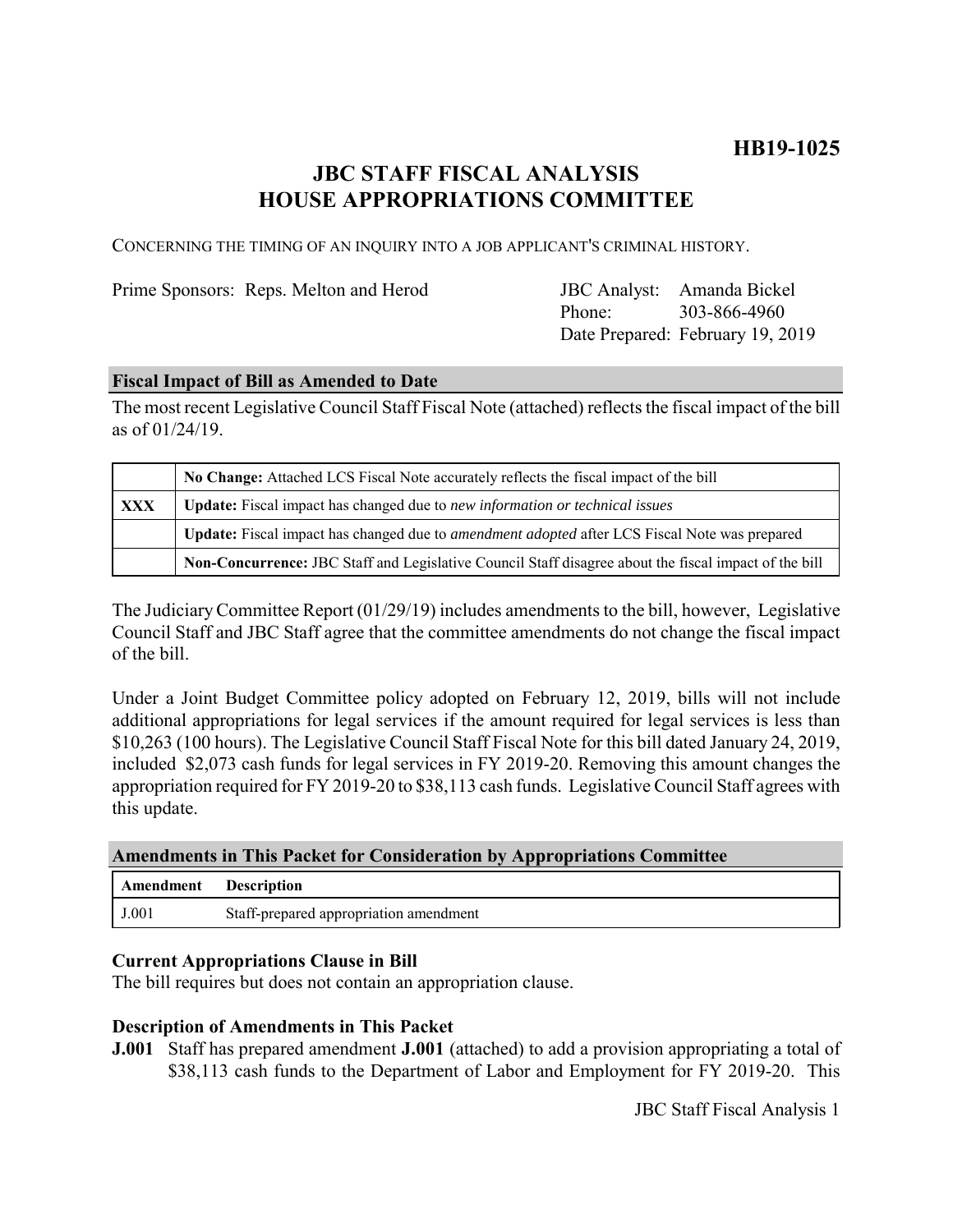## **HB19-1025**

## **JBC STAFF FISCAL ANALYSIS HOUSE APPROPRIATIONS COMMITTEE**

CONCERNING THE TIMING OF AN INQUIRY INTO A JOB APPLICANT'S CRIMINAL HISTORY.

Prime Sponsors: Reps. Melton and Herod

Phone: Date Prepared: February 19, 2019 JBC Analyst: Amanda Bickel 303-866-4960

### **Fiscal Impact of Bill as Amended to Date**

The most recent Legislative Council Staff Fiscal Note (attached) reflects the fiscal impact of the bill as of 01/24/19.

|            | No Change: Attached LCS Fiscal Note accurately reflects the fiscal impact of the bill                       |  |  |  |  |
|------------|-------------------------------------------------------------------------------------------------------------|--|--|--|--|
| <b>XXX</b> | Update: Fiscal impact has changed due to new information or technical issues                                |  |  |  |  |
|            | <b>Update:</b> Fiscal impact has changed due to <i>amendment adopted</i> after LCS Fiscal Note was prepared |  |  |  |  |
|            | Non-Concurrence: JBC Staff and Legislative Council Staff disagree about the fiscal impact of the bill       |  |  |  |  |

The Judiciary Committee Report (01/29/19) includes amendments to the bill, however, Legislative Council Staff and JBC Staff agree that the committee amendments do not change the fiscal impact of the bill.

Under a Joint Budget Committee policy adopted on February 12, 2019, bills will not include additional appropriations for legal services if the amount required for legal services is less than \$10,263 (100 hours). The Legislative Council Staff Fiscal Note for this bill dated January 24, 2019, included \$2,073 cash funds for legal services in FY 2019-20. Removing this amount changes the appropriation required for FY 2019-20 to \$38,113 cash funds. Legislative Council Staff agrees with this update.

| <b>Amendments in This Packet for Consideration by Appropriations Committee</b> |  |  |  |  |  |  |  |
|--------------------------------------------------------------------------------|--|--|--|--|--|--|--|
|--------------------------------------------------------------------------------|--|--|--|--|--|--|--|

| Amendment | <b>Description</b>                     |
|-----------|----------------------------------------|
| J.001     | Staff-prepared appropriation amendment |

### **Current Appropriations Clause in Bill**

The bill requires but does not contain an appropriation clause.

### **Description of Amendments in This Packet**

**J.001** Staff has prepared amendment **J.001** (attached) to add a provision appropriating a total of \$38,113 cash funds to the Department of Labor and Employment for FY 2019-20. This